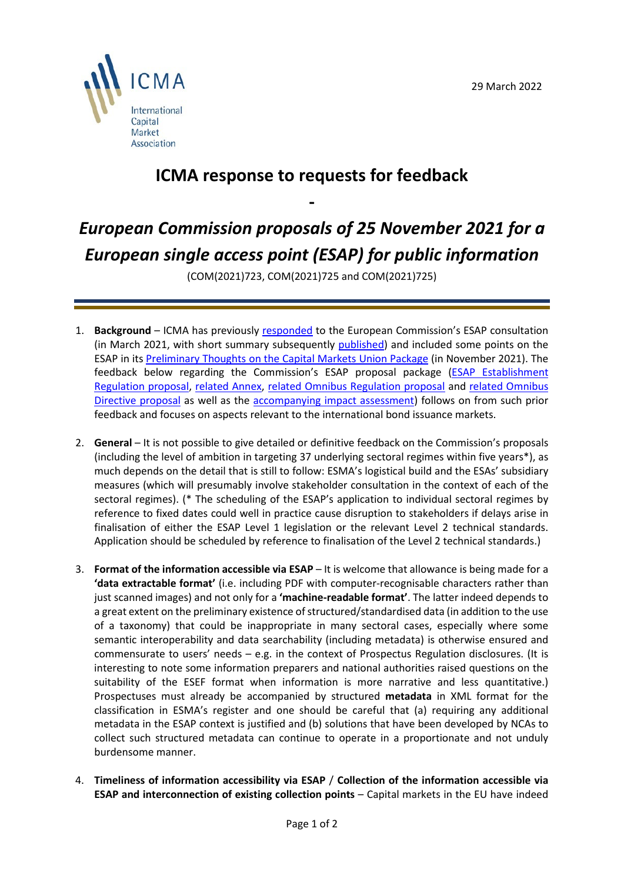

## **ICMA response to requests for feedback**

**-**

## *European Commission proposals of 25 November 2021 for a European single access point (ESAP) for public information*

(COM(2021)723, COM(2021)725 and COM(2021)725)

- 1. **Background** ICMA has previously [responded](https://www.icmagroup.org/assets/documents/Regulatory/Primary-Markets/EC-ESAP-CP-ICMA-response-020321.pdf) to the European Commission's ESAP consultation (in March 2021, with short summary subsequently [published\)](https://www.icmagroup.org/assets/documents/Maket-Practice/The-European-single-access-point-March-2022.pdf?vid=2) and included some points on the ESAP in its [Preliminary Thoughts on the Capital Markets Union Package](https://www.icmagroup.org/assets/documents/Regulatory/CMU/ICMA-Preliminary-Thoughts-on-CMU-Package-29-November-2021-291121.pdf) (in November 2021). The feedback below regarding the Commission's ESAP proposal package [\(ESAP Establishment](https://eur-lex.europa.eu/resource.html?uri=cellar:4729104b-4ddc-11ec-91ac-01aa75ed71a1.0001.02/DOC_1&format=PDF)  [Regulation proposal,](https://eur-lex.europa.eu/resource.html?uri=cellar:4729104b-4ddc-11ec-91ac-01aa75ed71a1.0001.02/DOC_1&format=PDF) [related Annex,](https://eur-lex.europa.eu/resource.html?uri=cellar:4729104b-4ddc-11ec-91ac-01aa75ed71a1.0001.02/DOC_2&format=PDF) [related Omnibus Regulation proposal](https://eur-lex.europa.eu/legal-content/EN/TXT/PDF/?uri=CELEX:52021PC0725&from=EN) and [related Omnibus](https://eur-lex.europa.eu/legal-content/EN/TXT/PDF/?uri=CELEX:52021PC0724&from=EN)  [Directive proposal](https://eur-lex.europa.eu/legal-content/EN/TXT/PDF/?uri=CELEX:52021PC0724&from=EN) as well as the [accompanying impact assessment\)](https://eur-lex.europa.eu/legal-content/EN/TXT/PDF/?uri=CELEX:52021SC0344&from=EN) follows on from such prior feedback and focuses on aspects relevant to the international bond issuance markets.
- 2. **General** It is not possible to give detailed or definitive feedback on the Commission's proposals (including the level of ambition in targeting 37 underlying sectoral regimes within five years\*), as much depends on the detail that is still to follow: ESMA's logistical build and the ESAs' subsidiary measures (which will presumably involve stakeholder consultation in the context of each of the sectoral regimes). (\* The scheduling of the ESAP's application to individual sectoral regimes by reference to fixed dates could well in practice cause disruption to stakeholders if delays arise in finalisation of either the ESAP Level 1 legislation or the relevant Level 2 technical standards. Application should be scheduled by reference to finalisation of the Level 2 technical standards.)
- 3. **Format of the information accessible via ESAP** It is welcome that allowance is being made for a **'data extractable format'** (i.e. including PDF with computer-recognisable characters rather than just scanned images) and not only for a **'machine-readable format'**. The latter indeed depends to a great extent on the preliminary existence of structured/standardised data (in addition to the use of a taxonomy) that could be inappropriate in many sectoral cases, especially where some semantic interoperability and data searchability (including metadata) is otherwise ensured and commensurate to users' needs – e.g. in the context of Prospectus Regulation disclosures. (It is interesting to note some information preparers and national authorities raised questions on the suitability of the ESEF format when information is more narrative and less quantitative.) Prospectuses must already be accompanied by structured **metadata** in XML format for the classification in ESMA's register and one should be careful that (a) requiring any additional metadata in the ESAP context is justified and (b) solutions that have been developed by NCAs to collect such structured metadata can continue to operate in a proportionate and not unduly burdensome manner.
- 4. **Timeliness of information accessibility via ESAP** / **Collection of the information accessible via ESAP and interconnection of existing collection points** – Capital markets in the EU have indeed